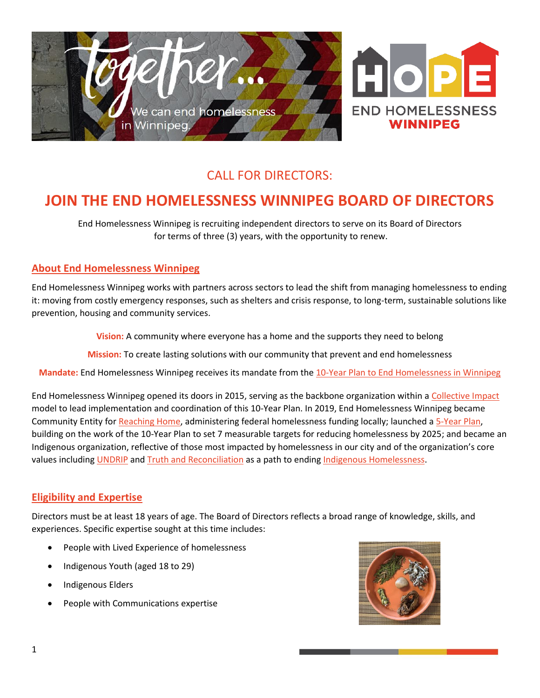

## CALL FOR DIRECTORS:

# **JOIN THE END HOMELESSNESS WINNIPEG BOARD OF DIRECTORS**

End Homelessness Winnipeg is recruiting independent directors to serve on its Board of Directors for terms of three (3) years, with the opportunity to renew.

#### **About End Homelessness Winnipeg**

End Homelessness Winnipeg works with partners across sectors to lead the shift from managing homelessness to ending it: moving from costly emergency responses, such as shelters and crisis response, to long-term, sustainable solutions like prevention, housing and community services.

**Vision:** A community where everyone has a home and the supports they need to belong

**Mission:** To create lasting solutions with our community that prevent and end homelessness

**Mandate:** End Homelessness Winnipeg receives its mandate from the [10-Year Plan to End Homelessness in Winnipeg](https://endhomelessnesswinnipeg.ca/wp-content/uploads/2016/10/EHW_Plan_April2014-2.pdf)

End Homelessness Winnipeg opened its doors in 2015, serving as the backbone organization within a [Collective Impact](https://www.collectiveimpactforum.org/what-collective-impact) model to lead implementation and coordination of this 10-Year Plan. In 2019, End Homelessness Winnipeg became Community Entity fo[r Reaching Home,](https://www.canada.ca/en/employment-social-development/programs/homelessness.html) administering federal homelessness funding locally; launched a [5-Year Plan,](https://endhomelessnesswinnipeg.ca/end-homelessness-winnipegs-5-year-plan-2020-2025/) building on the work of the 10-Year Plan to set 7 measurable targets for reducing homelessness by 2025; and became an Indigenous organization, reflective of those most impacted by homelessness in our city and of the organization's core values including [UNDRIP](https://www.un.org/development/desa/indigenouspeoples/declaration-on-the-rights-of-indigenous-peoples.html) and [Truth and Reconciliation](http://www.trc.ca/) as a path to ending [Indigenous Homelessness.](https://www.homelesshub.ca/IndigenousHomelessness)

#### **Eligibility and Expertise**

Directors must be at least 18 years of age. The Board of Directors reflects a broad range of knowledge, skills, and experiences. Specific expertise sought at this time includes:

- People with Lived Experience of homelessness
- Indigenous Youth (aged 18 to 29)
- Indigenous Elders
- People with Communications expertise